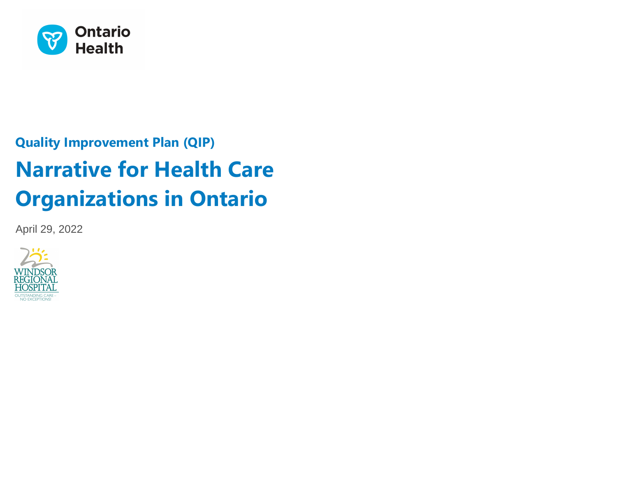

# **Quality Improvement Plan (QIP) Narrative for Health Care Organizations in Ontario**

April 29, 2022

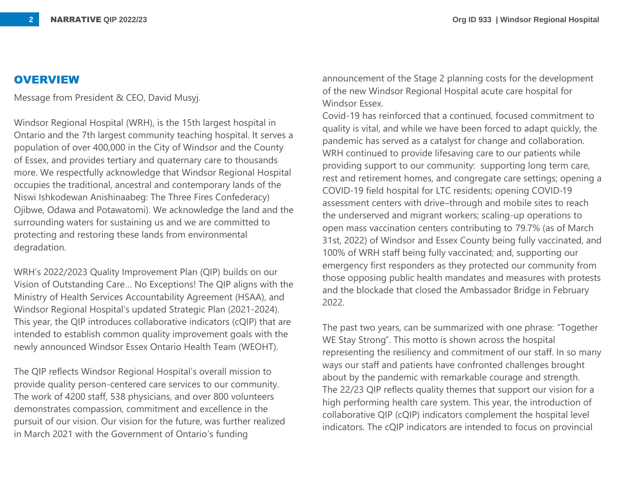### **OVERVIEW**

Message from President & CEO, David Musyj.

Windsor Regional Hospital (WRH), is the 15th largest hospital in Ontario and the 7th largest community teaching hospital. It serves a population of over 400,000 in the City of Windsor and the County of Essex, and provides tertiary and quaternary care to thousands more. We respectfully acknowledge that Windsor Regional Hospital occupies the traditional, ancestral and contemporary lands of the Niswi Ishkodewan Anishinaabeg: The Three Fires Confederacy) Ojibwe, Odawa and Potawatomi). We acknowledge the land and the surrounding waters for sustaining us and we are committed to protecting and restoring these lands from environmental degradation.

WRH's 2022/2023 Quality Improvement Plan (QIP) builds on our Vision of Outstanding Care… No Exceptions! The QIP aligns with the Ministry of Health Services Accountability Agreement (HSAA), and Windsor Regional Hospital's updated Strategic Plan (2021-2024). This year, the QIP introduces collaborative indicators (cQIP) that are intended to establish common quality improvement goals with the newly announced Windsor Essex Ontario Health Team (WEOHT).

The QIP reflects Windsor Regional Hospital's overall mission to provide quality person-centered care services to our community. The work of 4200 staff, 538 physicians, and over 800 volunteers demonstrates compassion, commitment and excellence in the pursuit of our vision. Our vision for the future, was further realized in March 2021 with the Government of Ontario's funding

announcement of the Stage 2 planning costs for the development of the new Windsor Regional Hospital acute care hospital for Windsor Essex.

Covid-19 has reinforced that a continued, focused commitment to quality is vital, and while we have been forced to adapt quickly, the pandemic has served as a catalyst for change and collaboration. WRH continued to provide lifesaving care to our patients while providing support to our community: supporting long term care, rest and retirement homes, and congregate care settings; opening a COVID-19 field hospital for LTC residents; opening COVID-19 assessment centers with drive–through and mobile sites to reach the underserved and migrant workers; scaling-up operations to open mass vaccination centers contributing to 79.7% (as of March 31st, 2022) of Windsor and Essex County being fully vaccinated, and 100% of WRH staff being fully vaccinated; and, supporting our emergency first responders as they protected our community from those opposing public health mandates and measures with protests and the blockade that closed the Ambassador Bridge in February 2022.

The past two years, can be summarized with one phrase: "Together WE Stay Strong". This motto is shown across the hospital representing the resiliency and commitment of our staff. In so many ways our staff and patients have confronted challenges brought about by the pandemic with remarkable courage and strength. The 22/23 QIP reflects quality themes that support our vision for a high performing health care system. This year, the introduction of collaborative QIP (cQIP) indicators complement the hospital level indicators. The cQIP indicators are intended to focus on provincial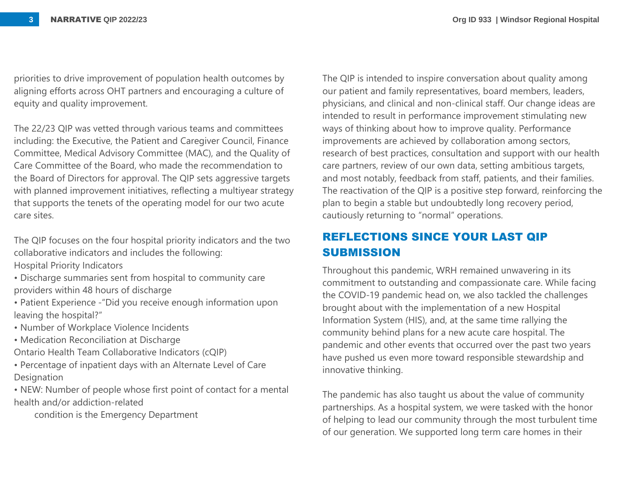priorities to drive improvement of population health outcomes by aligning efforts across OHT partners and encouraging a culture of equity and quality improvement.

The 22/23 QIP was vetted through various teams and committees including: the Executive, the Patient and Caregiver Council, Finance Committee, Medical Advisory Committee (MAC), and the Quality of Care Committee of the Board, who made the recommendation to the Board of Directors for approval. The QIP sets aggressive targets with planned improvement initiatives, reflecting a multiyear strategy that supports the tenets of the operating model for our two acute care sites.

The QIP focuses on the four hospital priority indicators and the two collaborative indicators and includes the following:

Hospital Priority Indicators

- Discharge summaries sent from hospital to community care providers within 48 hours of discharge
- Patient Experience -"Did you receive enough information upon leaving the hospital?"
- Number of Workplace Violence Incidents
- Medication Reconciliation at Discharge
- Ontario Health Team Collaborative Indicators (cQIP)
- Percentage of inpatient days with an Alternate Level of Care **Designation**

• NEW: Number of people whose first point of contact for a mental health and/or addiction-related

condition is the Emergency Department

The QIP is intended to inspire conversation about quality among our patient and family representatives, board members, leaders, physicians, and clinical and non-clinical staff. Our change ideas are intended to result in performance improvement stimulating new ways of thinking about how to improve quality. Performance improvements are achieved by collaboration among sectors, research of best practices, consultation and support with our health care partners, review of our own data, setting ambitious targets, and most notably, feedback from staff, patients, and their families. The reactivation of the QIP is a positive step forward, reinforcing the plan to begin a stable but undoubtedly long recovery period, cautiously returning to "normal" operations.

## **REFLECTIONS SINCE YOUR LAST QIP SUBMISSION**

Throughout this pandemic, WRH remained unwavering in its commitment to outstanding and compassionate care. While facing the COVID-19 pandemic head on, we also tackled the challenges brought about with the implementation of a new Hospital Information System (HIS), and, at the same time rallying the community behind plans for a new acute care hospital. The pandemic and other events that occurred over the past two years have pushed us even more toward responsible stewardship and innovative thinking.

The pandemic has also taught us about the value of community partnerships. As a hospital system, we were tasked with the honor of helping to lead our community through the most turbulent time of our generation. We supported long term care homes in their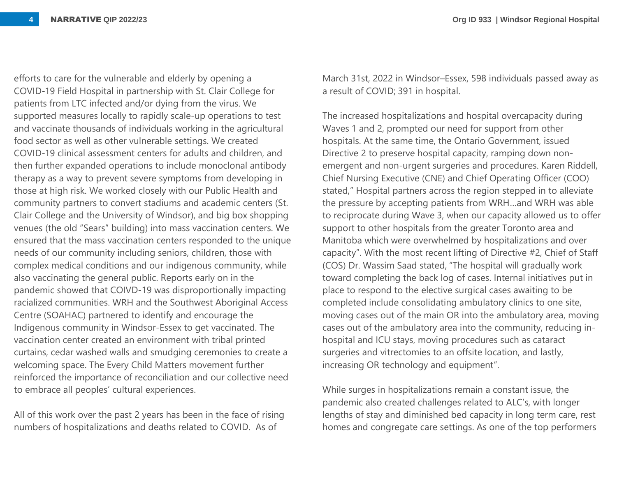efforts to care for the vulnerable and elderly by opening a COVID-19 Field Hospital in partnership with St. Clair College for patients from LTC infected and/or dying from the virus. We supported measures locally to rapidly scale-up operations to test and vaccinate thousands of individuals working in the agricultural food sector as well as other vulnerable settings. We created COVID-19 clinical assessment centers for adults and children, and then further expanded operations to include monoclonal antibody therapy as a way to prevent severe symptoms from developing in those at high risk. We worked closely with our Public Health and community partners to convert stadiums and academic centers (St. Clair College and the University of Windsor), and big box shopping venues (the old "Sears" building) into mass vaccination centers. We ensured that the mass vaccination centers responded to the unique needs of our community including seniors, children, those with complex medical conditions and our indigenous community, while also vaccinating the general public. Reports early on in the pandemic showed that COIVD-19 was disproportionally impacting racialized communities. WRH and the Southwest Aboriginal Access Centre (SOAHAC) partnered to identify and encourage the Indigenous community in Windsor-Essex to get vaccinated. The vaccination center created an environment with tribal printed curtains, cedar washed walls and smudging ceremonies to create a welcoming space. The Every Child Matters movement further reinforced the importance of reconciliation and our collective need to embrace all peoples' cultural experiences.

All of this work over the past 2 years has been in the face of rising numbers of hospitalizations and deaths related to COVID. As of

March 31st, 2022 in Windsor–Essex, 598 individuals passed away as a result of COVID; 391 in hospital.

The increased hospitalizations and hospital overcapacity during Waves 1 and 2, prompted our need for support from other hospitals. At the same time, the Ontario Government, issued Directive 2 to preserve hospital capacity, ramping down nonemergent and non-urgent surgeries and procedures. Karen Riddell, Chief Nursing Executive (CNE) and Chief Operating Officer (COO) stated," Hospital partners across the region stepped in to alleviate the pressure by accepting patients from WRH…and WRH was able to reciprocate during Wave 3, when our capacity allowed us to offer support to other hospitals from the greater Toronto area and Manitoba which were overwhelmed by hospitalizations and over capacity". With the most recent lifting of Directive #2, Chief of Staff (COS) Dr. Wassim Saad stated, "The hospital will gradually work toward completing the back log of cases. Internal initiatives put in place to respond to the elective surgical cases awaiting to be completed include consolidating ambulatory clinics to one site, moving cases out of the main OR into the ambulatory area, moving cases out of the ambulatory area into the community, reducing inhospital and ICU stays, moving procedures such as cataract surgeries and vitrectomies to an offsite location, and lastly, increasing OR technology and equipment".

While surges in hospitalizations remain a constant issue, the pandemic also created challenges related to ALC's, with longer lengths of stay and diminished bed capacity in long term care, rest homes and congregate care settings. As one of the top performers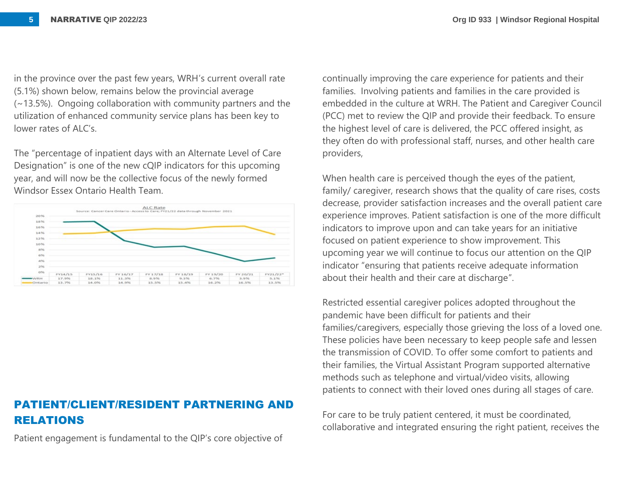in the province over the past few years, WRH's current overall rate (5.1%) shown below, remains below the provincial average (~13.5%). Ongoing collaboration with community partners and the utilization of enhanced community service plans has been key to lower rates of ALC's

The "percentage of inpatient days with an Alternate Level of Care Designation" is one of the new cQIP indicators for this upcoming year, and will now be the collective focus of the newly formed Windsor Essex Ontario Health Team.



## **PATIENT/CLIENT/RESIDENT PARTNERING AND RELATIONS**

Patient engagement is fundamental to the QIP's core objective of

continually improving the care experience for patients and their families. Involving patients and families in the care provided is embedded in the culture at WRH. The Patient and Caregiver Council (PCC) met to review the QIP and provide their feedback. To ensure the highest level of care is delivered, the PCC offered insight, as they often do with professional staff, nurses, and other health care providers,

When health care is perceived though the eyes of the patient, family/ caregiver, research shows that the quality of care rises, costs decrease, provider satisfaction increases and the overall patient care experience improves. Patient satisfaction is one of the more difficult indicators to improve upon and can take years for an initiative focused on patient experience to show improvement. This upcoming year we will continue to focus our attention on the QIP indicator "ensuring that patients receive adequate information about their health and their care at discharge".

Restricted essential caregiver polices adopted throughout the pandemic have been difficult for patients and their families/caregivers, especially those grieving the loss of a loved one. These policies have been necessary to keep people safe and lessen the transmission of COVID. To offer some comfort to patients and their families, the Virtual Assistant Program supported alternative methods such as telephone and virtual/video visits, allowing patients to connect with their loved ones during all stages of care.

For care to be truly patient centered, it must be coordinated, collaborative and integrated ensuring the right patient, receives the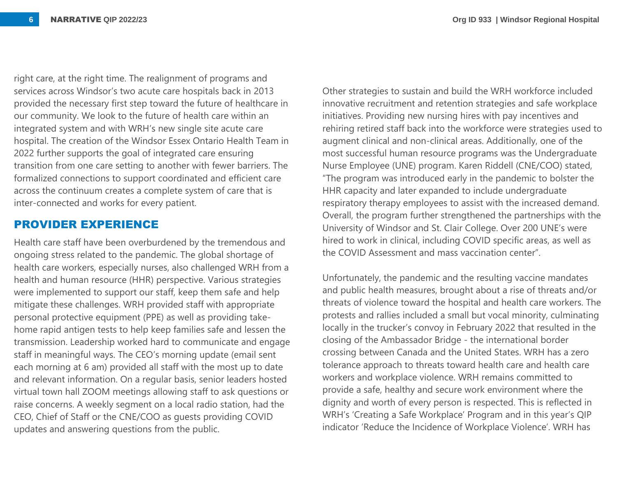right care, at the right time. The realignment of programs and services across Windsor's two acute care hospitals back in 2013 provided the necessary first step toward the future of healthcare in our community. We look to the future of health care within an integrated system and with WRH's new single site acute care hospital. The creation of the Windsor Essex Ontario Health Team in 2022 further supports the goal of integrated care ensuring transition from one care setting to another with fewer barriers. The formalized connections to support coordinated and efficient care across the continuum creates a complete system of care that is inter-connected and works for every patient.

#### **PROVIDER EXPERIENCE**

Health care staff have been overburdened by the tremendous and ongoing stress related to the pandemic. The global shortage of health care workers, especially nurses, also challenged WRH from a health and human resource (HHR) perspective. Various strategies were implemented to support our staff, keep them safe and help mitigate these challenges. WRH provided staff with appropriate personal protective equipment (PPE) as well as providing takehome rapid antigen tests to help keep families safe and lessen the transmission. Leadership worked hard to communicate and engage staff in meaningful ways. The CEO's morning update (email sent each morning at 6 am) provided all staff with the most up to date and relevant information. On a regular basis, senior leaders hosted virtual town hall ZOOM meetings allowing staff to ask questions or raise concerns. A weekly segment on a local radio station, had the CEO, Chief of Staff or the CNE/COO as guests providing COVID updates and answering questions from the public.

Other strategies to sustain and build the WRH workforce included innovative recruitment and retention strategies and safe workplace initiatives. Providing new nursing hires with pay incentives and rehiring retired staff back into the workforce were strategies used to augment clinical and non-clinical areas. Additionally, one of the most successful human resource programs was the Undergraduate Nurse Employee (UNE) program. Karen Riddell (CNE/COO) stated, "The program was introduced early in the pandemic to bolster the HHR capacity and later expanded to include undergraduate respiratory therapy employees to assist with the increased demand. Overall, the program further strengthened the partnerships with the University of Windsor and St. Clair College. Over 200 UNE's were hired to work in clinical, including COVID specific areas, as well as the COVID Assessment and mass vaccination center".

Unfortunately, the pandemic and the resulting vaccine mandates and public health measures, brought about a rise of threats and/or threats of violence toward the hospital and health care workers. The protests and rallies included a small but vocal minority, culminating locally in the trucker's convoy in February 2022 that resulted in the closing of the Ambassador Bridge - the international border crossing between Canada and the United States. WRH has a zero tolerance approach to threats toward health care and health care workers and workplace violence. WRH remains committed to provide a safe, healthy and secure work environment where the dignity and worth of every person is respected. This is reflected in WRH's 'Creating a Safe Workplace' Program and in this year's QIP indicator 'Reduce the Incidence of Workplace Violence'. WRH has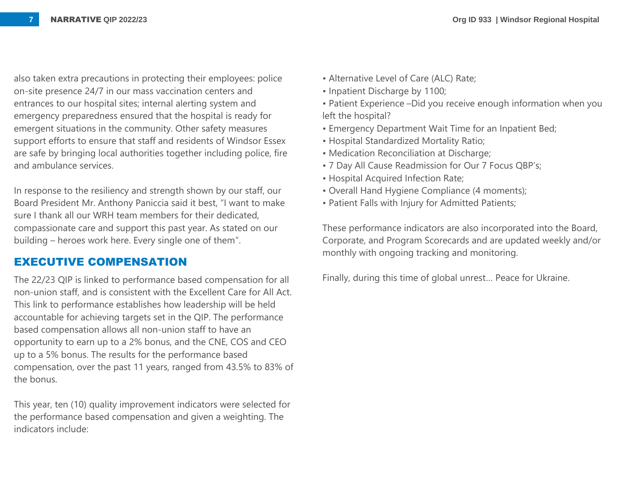also taken extra precautions in protecting their employees: police on-site presence 24/7 in our mass vaccination centers and entrances to our hospital sites; internal alerting system and emergency preparedness ensured that the hospital is ready for emergent situations in the community. Other safety measures support efforts to ensure that staff and residents of Windsor Essex are safe by bringing local authorities together including police, fire and ambulance services.

In response to the resiliency and strength shown by our staff, our Board President Mr. Anthony Paniccia said it best, "I want to make sure I thank all our WRH team members for their dedicated, compassionate care and support this past year. As stated on our building – heroes work here. Every single one of them".

## **EXECUTIVE COMPENSATION**

The 22/23 QIP is linked to performance based compensation for all non-union staff, and is consistent with the Excellent Care for All Act. This link to performance establishes how leadership will be held accountable for achieving targets set in the QIP. The performance based compensation allows all non-union staff to have an opportunity to earn up to a 2% bonus, and the CNE, COS and CEO up to a 5% bonus. The results for the performance based compensation, over the past 11 years, ranged from 43.5% to 83% of the bonus.

This year, ten (10) quality improvement indicators were selected for the performance based compensation and given a weighting. The indicators include:

- Alternative Level of Care (ALC) Rate;
- Inpatient Discharge by 1100;
- Patient Experience –Did you receive enough information when you left the hospital?
- Emergency Department Wait Time for an Inpatient Bed;
- Hospital Standardized Mortality Ratio;
- Medication Reconciliation at Discharge;
- 7 Day All Cause Readmission for Our 7 Focus QBP's;
- Hospital Acquired Infection Rate;
- Overall Hand Hygiene Compliance (4 moments);
- Patient Falls with Injury for Admitted Patients;

These performance indicators are also incorporated into the Board, Corporate, and Program Scorecards and are updated weekly and/or monthly with ongoing tracking and monitoring.

Finally, during this time of global unrest… Peace for Ukraine.